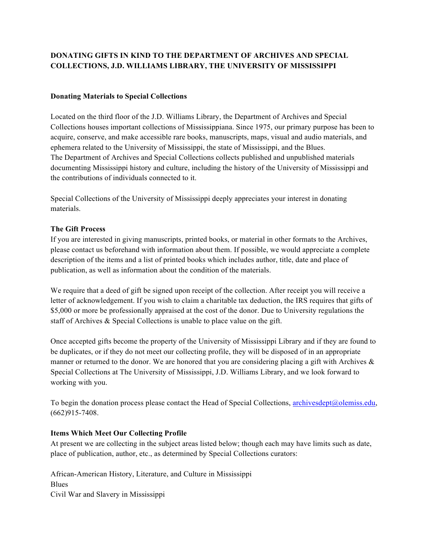# **DONATING GIFTS IN KIND TO THE DEPARTMENT OF ARCHIVES AND SPECIAL COLLECTIONS, J.D. WILLIAMS LIBRARY, THE UNIVERSITY OF MISSISSIPPI**

## **Donating Materials to Special Collections**

Located on the third floor of the J.D. Williams Library, the Department of Archives and Special Collections houses important collections of Mississippiana. Since 1975, our primary purpose has been to acquire, conserve, and make accessible rare books, manuscripts, maps, visual and audio materials, and ephemera related to the University of Mississippi, the state of Mississippi, and the Blues. The Department of Archives and Special Collections collects published and unpublished materials documenting Mississippi history and culture, including the history of the University of Mississippi and the contributions of individuals connected to it.

Special Collections of the University of Mississippi deeply appreciates your interest in donating materials.

## **The Gift Process**

If you are interested in giving manuscripts, printed books, or material in other formats to the Archives, please contact us beforehand with information about them. If possible, we would appreciate a complete description of the items and a list of printed books which includes author, title, date and place of publication, as well as information about the condition of the materials.

We require that a deed of gift be signed upon receipt of the collection. After receipt you will receive a letter of acknowledgement. If you wish to claim a charitable tax deduction, the IRS requires that gifts of \$5,000 or more be professionally appraised at the cost of the donor. Due to University regulations the staff of Archives & Special Collections is unable to place value on the gift.

Once accepted gifts become the property of the University of Mississippi Library and if they are found to be duplicates, or if they do not meet our collecting profile, they will be disposed of in an appropriate manner or returned to the donor. We are honored that you are considering placing a gift with Archives  $\&$ Special Collections at The University of Mississippi, J.D. Williams Library, and we look forward to working with you.

To begin the donation process please contact the Head of Special Collections, archivesdept@olemiss.edu, (662)915-7408.

#### **Items Which Meet Our Collecting Profile**

At present we are collecting in the subject areas listed below; though each may have limits such as date, place of publication, author, etc., as determined by Special Collections curators:

African-American History, Literature, and Culture in Mississippi **Blues** Civil War and Slavery in Mississippi